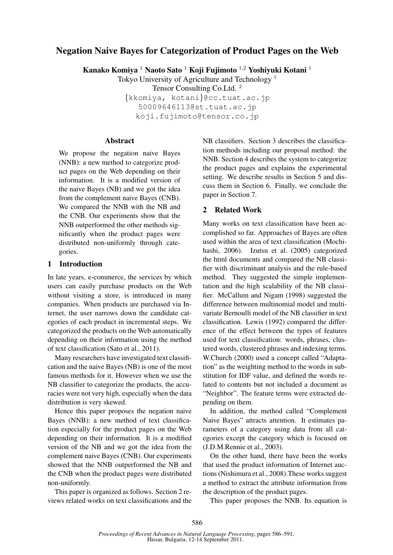# Negation Naive Bayes for Categorization of Product Pages on the Web

Kanako Komiya <sup>1</sup> Naoto Sato <sup>1</sup> Koji Fujimoto <sup>1,2</sup> Yoshiyuki Kotani <sup>1</sup>

Tokyo University of Agriculture and Technology<sup>1</sup> Tensor Consulting Co.Ltd. <sup>2</sup> *{*kkomiya, kotani*}*@cc.tuat.ac.jp 50009646113@st.tuat.ac.jp koji.fujimoto@tensor.co.jp

### Abstract

We propose the negation naive Bayes (NNB): a new method to categorize product pages on the Web depending on their information. It is a modified version of the naive Bayes (NB) and we got the idea from the complement naive Bayes (CNB). We compared the NNB with the NB and the CNB. Our experiments show that the NNB outperformed the other methods significantly when the product pages were distributed non-uniformly through categories.

### 1 Introduction

In late years, e-commerce, the services by which users can easily purchase products on the Web without visiting a store, is introduced in many companies. When products are purchased via Internet, the user narrows down the candidate categories of each product in incremental steps. We categorized the products on the Web automatically depending on their information using the method of text classification (Sato et al., 2011).

Many researchers have investigated text classification and the naive Bayes (NB) is one of the most famous methods for it. However when we use the NB classifier to categorize the products, the accuracies were not very high, especially when the data distribution is very skewed.

Hence this paper proposes the negation naive Bayes (NNB): a new method of text classification especially for the product pages on the Web depending on their information. It is a modified version of the NB and we got the idea from the complement naive Bayes (CNB). Our experiments showed that the NNB outperformed the NB and the CNB when the product pages were distributed non-uniformly.

This paper is organized as follows. Section 2 reviews related works on text classifications and the

NB classifiers. Section 3 describes the classification methods including our proposal method: the NNB. Section 4 describes the system to categorize the product pages and explains the experimental setting. We describe results in Section 5 and discuss them in Section 6. Finally, we conclude the paper in Section 7.

### 2 Related Work

Many works on text classification have been accomplished so far. Approaches of Bayes are often used within the area of text classification (Mochihashi, 2006). Izutsu et al. (2005) categorized the html documents and compared the NB classifier with discriminant analysis and the rule-based method. They suggested the simple implementation and the high scalability of the NB classifier. McCallum and Nigam (1998) suggested the difference between multinomial model and multivariate Bernoulli model of the NB classifier in text classification. Lewis (1992) compared the difference of the effect between the types of features used for text classification: words, phrases, clustered words, clustered phrases and indexing terms. W.Church (2000) used a concept called "Adaptation" as the weighting method to the words in substitution for IDF value, and defined the words related to contents but not included a document as "Neighbor". The feature terms were extracted depending on them.

In addition, the method called "Complement Naive Bayes" attracts attention. It estimates parameters of a category using data from all categories except the category which is focused on (J.D.M.Rennie et al., 2003).

On the other hand, there have been the works that used the product information of Internet auctions (Nishimura et al., 2008).These works suggest a method to extract the attribute information from the description of the product pages.

This paper proposes the NNB. Its equation is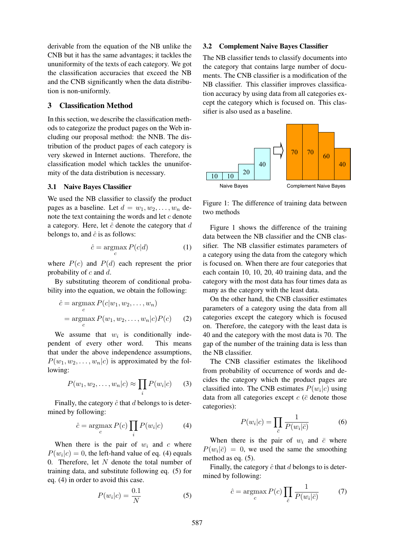derivable from the equation of the NB unlike the CNB but it has the same advantages; it tackles the ununiformity of the texts of each category. We got the classification accuracies that exceed the NB and the CNB significantly when the data distribution is non-uniformly.

# 3 Classification Method

In this section, we describe the classification methods to categorize the product pages on the Web including our proposal method: the NNB. The distribution of the product pages of each category is very skewed in Internet auctions. Therefore, the classification model which tackles the ununiformity of the data distribution is necessary.

#### 3.1 Naive Bayes Classifier

We used the NB classifier to classify the product pages as a baseline. Let  $d = w_1, w_2, \ldots, w_n$  denote the text containing the words and let *c* denote a category. Here, let *c*ˆ denote the category that *d* belongs to, and  $\hat{c}$  is as follows:

$$
\hat{c} = \underset{c}{\operatorname{argmax}} P(c|d) \tag{1}
$$

where  $P(c)$  and  $P(d)$  each represent the prior probability of *c* and *d*.

By substituting theorem of conditional probability into the equation, we obtain the following:

$$
\hat{c} = \underset{c}{\operatorname{argmax}} P(c|w_1, w_2, \dots, w_n)
$$

$$
= \underset{c}{\operatorname{argmax}} P(w_1, w_2, \dots, w_n|c) P(c) \qquad (2)
$$

We assume that  $w_i$  is conditionally independent of every other word. This means that under the above independence assumptions,  $P(w_1, w_2, \ldots, w_n|c)$  is approximated by the following:

$$
P(w_1, w_2, \dots, w_n|c) \approx \prod_i P(w_i|c) \qquad (3)
$$

Finally, the category  $\hat{c}$  that  $d$  belongs to is determined by following:

$$
\hat{c} = \underset{c}{\operatorname{argmax}} P(c) \prod_{i} P(w_i|c) \tag{4}
$$

When there is the pair of  $w_i$  and  $c$  where  $P(w_i|c) = 0$ , the left-hand value of eq. (4) equals 0. Therefore, let *N* denote the total number of training data, and substitute following eq. (5) for eq. (4) in order to avoid this case.

$$
P(w_i|c) = \frac{0.1}{N} \tag{5}
$$

#### 3.2 Complement Naive Bayes Classifier

The NB classifier tends to classify documents into the category that contains large number of documents. The CNB classifier is a modification of the NB classifier. This classifier improves classification accuracy by using data from all categories except the category which is focused on. This classifier is also used as a baseline.



Figure 1: The difference of training data between two methods

Figure 1 shows the difference of the training data between the NB classifier and the CNB classifier. The NB classifier estimates parameters of a category using the data from the category which is focused on. When there are four categories that each contain 10, 10, 20, 40 training data, and the category with the most data has four times data as many as the category with the least data.

On the other hand, the CNB classifier estimates parameters of a category using the data from all categories except the category which is focused on. Therefore, the category with the least data is 40 and the category with the most data is 70. The gap of the number of the training data is less than the NB classifier.

The CNB classifier estimates the likelihood from probability of occurrence of words and decides the category which the product pages are classified into. The CNB estimates  $P(w_i|c)$  using data from all categories except  $c$  ( $\bar{c}$  denote those categories):

$$
P(w_i|c) = \prod_{\overline{c}} \frac{1}{P(w_i|\overline{c})}
$$
 (6)

When there is the pair of  $w_i$  and  $\bar{c}$  where  $P(w_i|\bar{c}) = 0$ , we used the same the smoothing method as eq. (5).

Finally, the category  $\hat{c}$  that  $d$  belongs to is determined by following:

$$
\hat{c} = \underset{c}{\operatorname{argmax}} P(c) \prod_{\bar{c}} \frac{1}{P(w_i|\bar{c})} \tag{7}
$$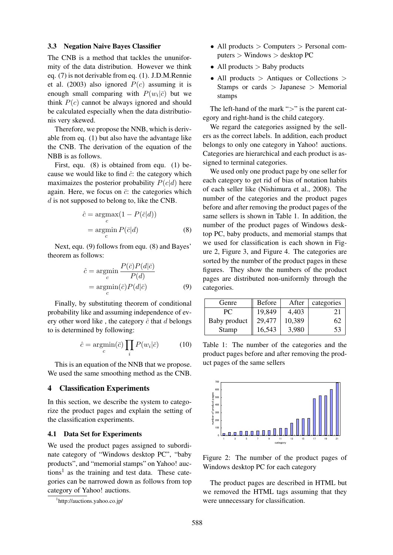#### 3.3 Negation Naive Bayes Classifier

The CNB is a method that tackles the ununiformity of the data distribution. However we think eq. (7) is not derivable from eq. (1). J.D.M.Rennie et al. (2003) also ignored  $P(c)$  assuming it is enough small comparing with  $P(w_i|\bar{c})$  but we think  $P(c)$  cannot be always ignored and should be calculated especially when the data distributionis very skewed.

Therefore, we propose the NNB, which is derivable from eq. (1) but also have the advantage like the CNB. The derivation of the equation of the NBB is as follows.

First, equ. (8) is obtained from equ. (1) because we would like to find  $\hat{c}$ : the category which maximaizes the posterior probability  $P(c|d)$  here again. Here, we focus on  $\bar{c}$ : the categories which *d* is not supposed to belong to, like the CNB.

$$
\hat{c} = \underset{c}{\operatorname{argmax}} (1 - P(\bar{c}|d))
$$

$$
= \underset{c}{\operatorname{argmin}} P(\bar{c}|d)
$$
(8)

Next, equ. (9) follows from equ. (8) and Bayes' theorem as follows:

$$
\hat{c} = \underset{c}{\operatorname{argmin}} \frac{P(\bar{c})P(d|\bar{c})}{P(d)} \n= \underset{c}{\operatorname{argmin}} (\bar{c})P(d|\bar{c})
$$
\n(9)

Finally, by substituting theorem of conditional probability like and assuming independence of every other word like, the category  $\hat{c}$  that  $d$  belongs to is determined by following:

$$
\hat{c} = \underset{c}{\text{argmin}}(\bar{c}) \prod_{i} P(w_i | \bar{c}) \tag{10}
$$

This is an equation of the NNB that we propose. We used the same smoothing method as the CNB.

#### 4 Classification Experiments

In this section, we describe the system to categorize the product pages and explain the setting of the classification experiments.

#### 4.1 Data Set for Experiments

We used the product pages assigned to subordinate category of "Windows desktop PC", "baby products", and "memorial stamps" on Yahoo! auc $tions<sup>1</sup>$  as the training and test data. These categories can be narrowed down as follows from top category of Yahoo! auctions.

- *•* All products *>* Computers *>* Personal computers *>* Windows *>* desktop PC
- *•* All products *>* Baby products
- *•* All products *>* Antiques or Collections *>* Stamps or cards *>* Japanese *>* Memorial stamps

The left-hand of the mark "*>*" is the parent category and right-hand is the child category.

We regard the categories assigned by the sellers as the correct labels. In addition, each product belongs to only one category in Yahoo! auctions. Categories are hierarchical and each product is assigned to terminal categories.

We used only one product page by one seller for each category to get rid of bias of notation habits of each seller like (Nishimura et al., 2008). The number of the categories and the product pages before and after removing the product pages of the same sellers is shown in Table 1. In addition, the number of the product pages of Windows desktop PC, baby products, and memorial stamps that we used for classification is each shown in Figure 2, Figure 3, and Figure 4. The categories are sorted by the number of the product pages in these figures. They show the numbers of the product pages are distributed non-uniformly through the categories.

| Genre        | <b>Before</b> | After  | categories |
|--------------|---------------|--------|------------|
| PС           | 19,849        | 4,403  |            |
| Baby product | 29,477        | 10,389 | 62         |
| Stamp        | 16,543        | 3,980  | 53         |

Table 1: The number of the categories and the product pages before and after removing the product pages of the same sellers



Figure 2: The number of the product pages of Windows desktop PC for each category

The product pages are described in HTML but we removed the HTML tags assuming that they were unnecessary for classification.

<sup>1</sup> http://auctions.yahoo.co.jp/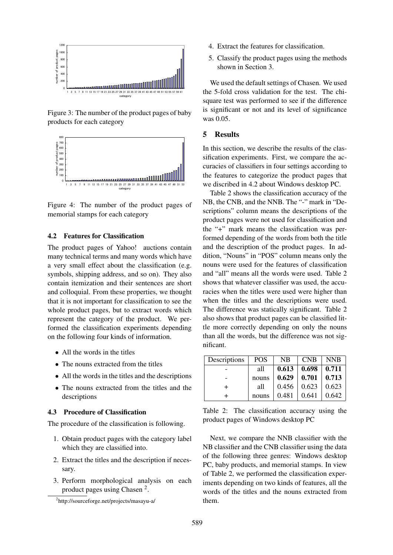

Figure 3: The number of the product pages of baby products for each category



Figure 4: The number of the product pages of memorial stamps for each category

# 4.2 Features for Classification

The product pages of Yahoo! auctions contain many technical terms and many words which have a very small effect about the classification (e.g. symbols, shipping address, and so on). They also contain itemization and their sentences are short and colloquial. From these properties, we thought that it is not important for classification to see the whole product pages, but to extract words which represent the category of the product. We performed the classification experiments depending on the following four kinds of information.

- All the words in the titles
- *•* The nouns extracted from the titles
- All the words in the titles and the descriptions
- The nouns extracted from the titles and the descriptions

#### 4.3 Procedure of Classification

The procedure of the classification is following.

- 1. Obtain product pages with the category label which they are classified into.
- 2. Extract the titles and the description if necessary.
- 3. Perform morphological analysis on each product pages using Chasen<sup>2</sup>.
- 4. Extract the features for classification.
- 5. Classify the product pages using the methods shown in Section 3.

We used the default settings of Chasen. We used the 5-fold cross validation for the test. The chisquare test was performed to see if the difference is significant or not and its level of significance was 0.05.

### 5 Results

In this section, we describe the results of the classification experiments. First, we compare the accuracies of classifiers in four settings according to the features to categorize the product pages that we discribed in 4.2 about Windows desktop PC.

Table 2 shows the classification accuracy of the NB, the CNB, and the NNB. The "-" mark in "Descriptions" column means the descriptions of the product pages were not used for classification and the "+" mark means the classification was performed depending of the words from both the title and the description of the product pages. In addition, "Nouns" in "POS" column means only the nouns were used for the features of classification and "all" means all the words were used. Table 2 shows that whatever classifier was used, the accuracies when the titles were used were higher than when the titles and the descriptions were used. The difference was statically significant. Table 2 also shows that product pages can be classified little more correctly depending on only the nouns than all the words, but the difference was not significant.

| Descriptions | <b>POS</b> | <b>NB</b> | <b>CNB</b>            | <b>NNB</b> |
|--------------|------------|-----------|-----------------------|------------|
|              | all        |           | $0.613 \;   \; 0.698$ | 0.711      |
|              | nouns      | 0.629     | 0.701                 | 0.713      |
|              | all        | 0.456     | 0.623                 | 0.623      |
|              | nouns      | 0.481     | 0.641                 | 0.642      |

Table 2: The classification accuracy using the product pages of Windows desktop PC

Next, we compare the NNB classifier with the NB classifier and the CNB classifier using the data of the following three genres: Windows desktop PC, baby products, and memorial stamps. In view of Table 2, we performed the classification experiments depending on two kinds of features, all the words of the titles and the nouns extracted from them.

<sup>2</sup> http://sourceforge.net/projects/masayu-a/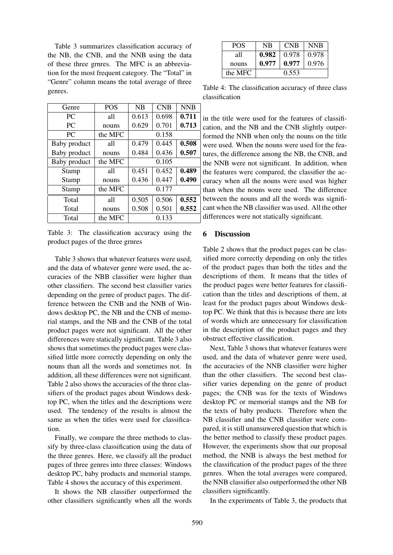Table 3 summarizes classification accuracy of the NB, the CNB, and the NNB using the data of these three grnres. The MFC is an abbreviation for the most frequent category. The "Total" in "Genre" column means the total average of three genres.

| Genre        | <b>POS</b> | NB    | <b>CNB</b> | <b>NNB</b> |
|--------------|------------|-------|------------|------------|
| PC.          | all        | 0.613 | 0.698      | 0.711      |
| PC           | nouns      | 0.629 | 0.701      | 0.713      |
| PC.          | the MFC    |       | 0.158      |            |
| Baby product | all        | 0.479 | 0.445      | 0.508      |
| Baby product | nouns      | 0.484 | 0.436      | 0.507      |
| Baby product | the MFC    |       | 0.105      |            |
| Stamp        | all        | 0.451 | 0.452      | 0.489      |
| Stamp        | nouns      | 0.436 | 0.447      | 0.490      |
| Stamp        | the MFC    |       | 0.177      |            |
| Total        | all        | 0.505 | 0.506      | 0.552      |
| Total        | nouns      | 0.508 | 0.501      | 0.552      |
| Total        | the MFC    |       | 0.133      |            |

Table 3: The classification accuracy using the product pages of the three grnres

Table 3 shows that whatever features were used, and the data of whatever genre were used, the accuracies of the NBB classifier were higher than other classifiers. The second best classifier varies depending on the genre of product pages. The difference between the CNB and the NNB of Windows desktop PC, the NB and the CNB of memorial stamps, and the NB and the CNB of the total product pages were not significant. All the other differences were statically significant. Table 3 also shows that sometimes the product pages were classified little more correctly depending on only the nouns than all the words and sometimes not. In addition, all these differences were not significant. Table 2 also shows the accuracies of the three classifiers of the product pages about Windows desktop PC, when the titles and the descriptions were used. The tendency of the results is almost the same as when the titles were used for classification.

Finally, we compare the three methods to classify by three-class classification using the data of the three genres. Here, we classify all the product pages of three genres into three classes: Windows desktop PC, baby products and memorial stamps. Table 4 shows the accuracy of this experiment.

It shows the NB classifier outperformed the other classifiers significantly when all the words

| POS.    | NB    | <b>CNB</b> | <b>NNB</b> |
|---------|-------|------------|------------|
| all     | 0.982 | 0.978      | 0.978      |
| nouns   | 0.977 | 0.977      | 0.976      |
| the MFC |       | 0.553      |            |

Table 4: The classification accuracy of three class classification

in the title were used for the features of classification, and the NB and the CNB slightly outperformed the NNB when only the nouns on the title were used. When the nouns were used for the features, the difference among the NB, the CNB, and the NNB were not significant. In addition, when the features were compared, the classifier the accuracy when all the nouns were used was higher than when the nouns were used. The difference between the nouns and all the words was significant when the NB classifier was used. All the other differences were not statically significant.

# 6 Discussion

Table 2 shows that the product pages can be classified more correctly depending on only the titles of the product pages than both the titles and the descriptions of them. It means that the titles of the product pages were better features for classification than the titles and descriptions of them, at least for the product pages about Windows desktop PC. We think that this is because there are lots of words which are unnecessary for classification in the description of the product pages and they obstruct effective classification.

Next, Table 3 shows that whatever features were used, and the data of whatever genre were used, the accuracies of the NNB classifier were higher than the other classifiers. The second best classifier varies depending on the genre of product pages; the CNB was for the texts of Windows desktop PC or memorial stamps and the NB for the texts of baby products. Therefore when the NB classifier and the CNB classifier were compared, it is still unansuwered question that which is the better method to classify these product pages. However, the experiments show that our proposal method, the NNB is always the best method for the classification of the product pages of the three genres. When the total averages were compared, the NNB classifier also outperformed the other NB classifiers significantly.

In the experiments of Table 3, the products that